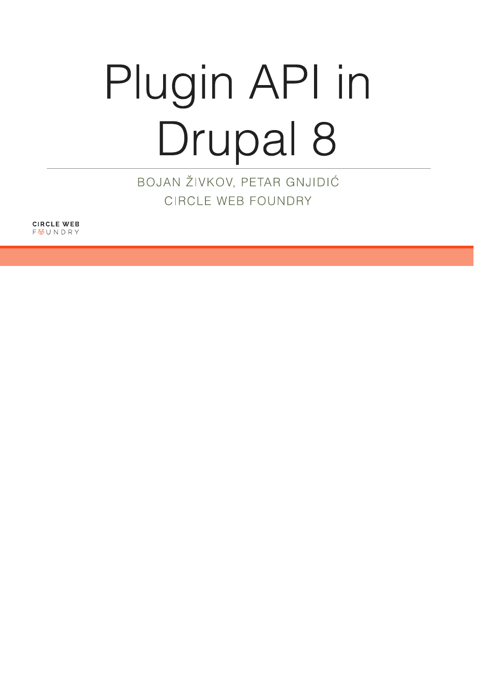# Plugin API in Drupal 8

BOJAN ŽIVKOV, PETAR GNJIDIĆ CIRCLE WEB FOUNDRY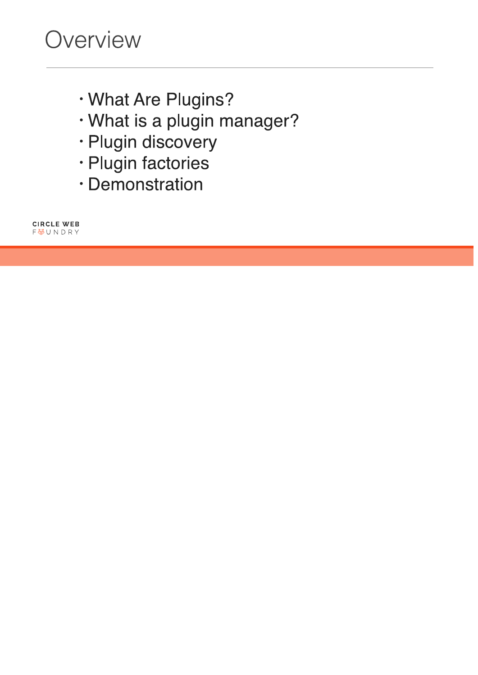- · What Are Plugins?
- · What is a plugin manager?
- · Plugin discovery
- · Plugin factories
- · Demonstration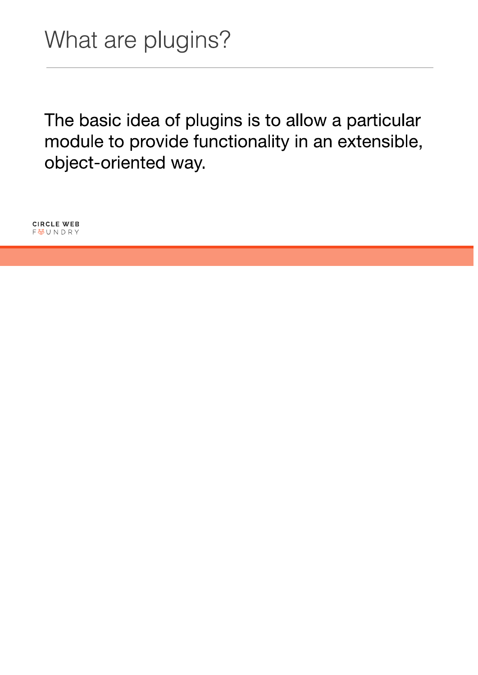The basic idea of plugins is to allow a particular module to provide functionality in an extensible, object-oriented way.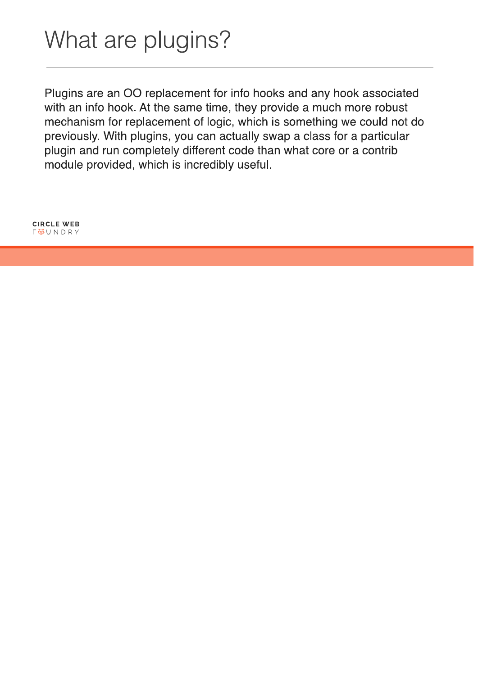Plugins are an OO replacement for info hooks and any hook associated with an info hook. At the same time, they provide a much more robust mechanism for replacement of logic, which is something we could not do previously. With plugins, you can actually swap a class for a particular plugin and run completely different code than what core or a contrib module provided, which is incredibly useful.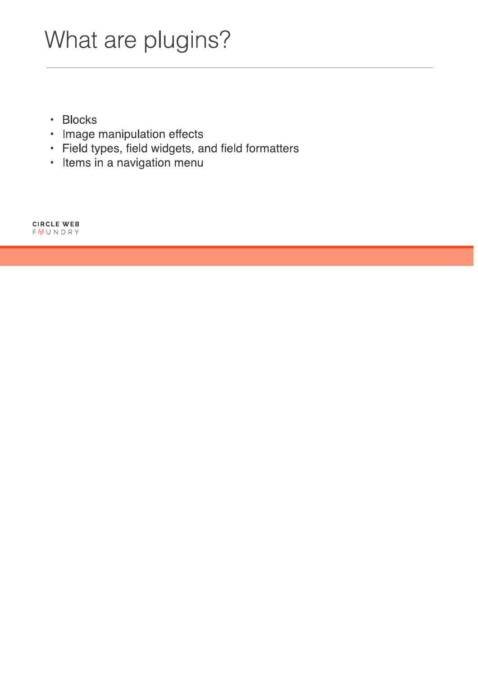## What are plugins?

- · Blocks
- Image manipulation effects
- · Field types, field widgets, and field formatters
- · Items in a navigation menu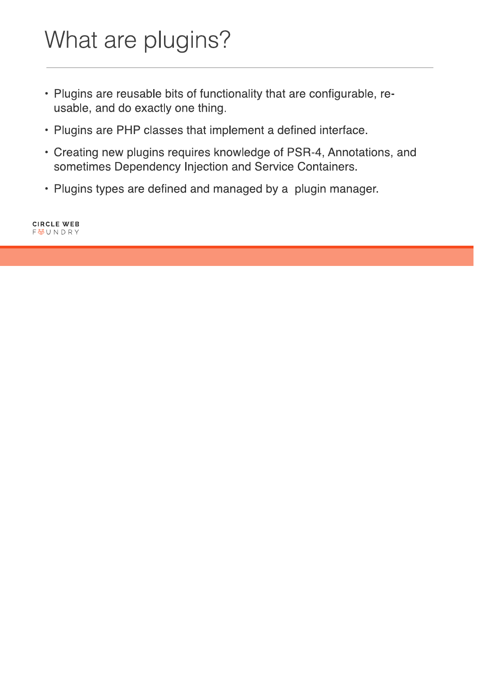## What are plugins?

- Plugins are reusable bits of functionality that are configurable, reusable, and do exactly one thing.
- Plugins are PHP classes that implement a defined interface.
- Creating new plugins requires knowledge of PSR-4, Annotations, and sometimes Dependency Injection and Service Containers.
- Plugins types are defined and managed by a plugin manager.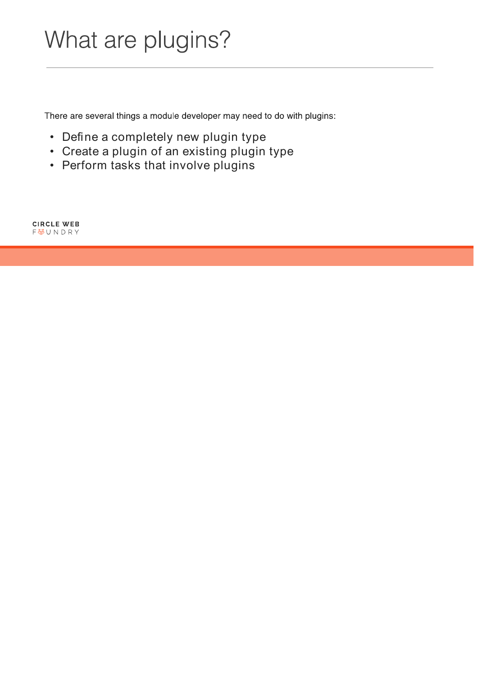### What are plugins?

There are several things a module developer may need to do with plugins:

- Define a completely new plugin type
- Create a plugin of an existing plugin type
- Perform tasks that involve plugins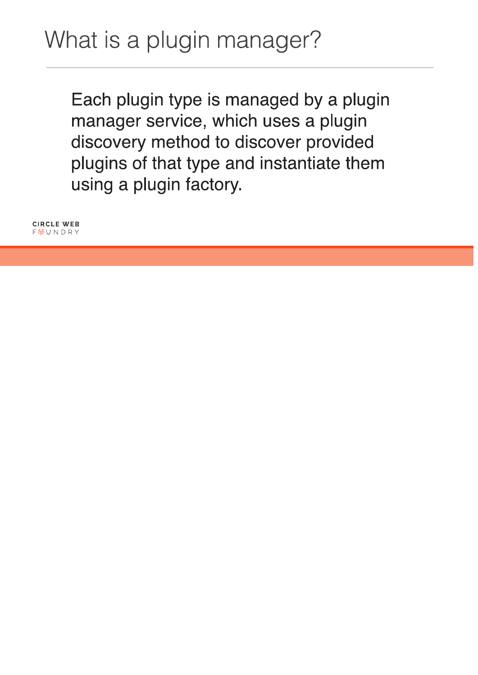Each plugin type is managed by a plugin manager service, which uses a plugin discovery method to discover provided plugins of that type and instantiate them using a plugin factory.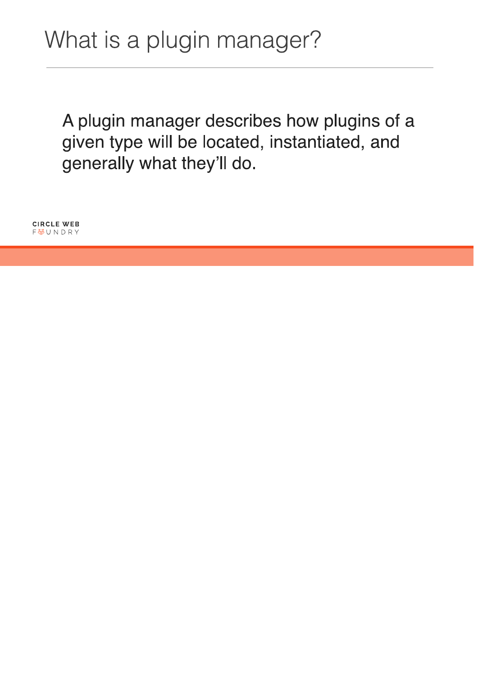A plugin manager describes how plugins of a given type will be located, instantiated, and generally what they'll do.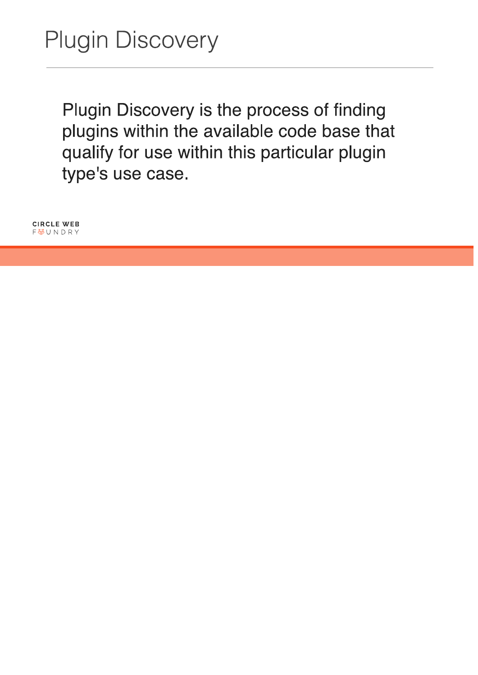Plugin Discovery is the process of finding plugins within the available code base that qualify for use within this particular plugin type's use case.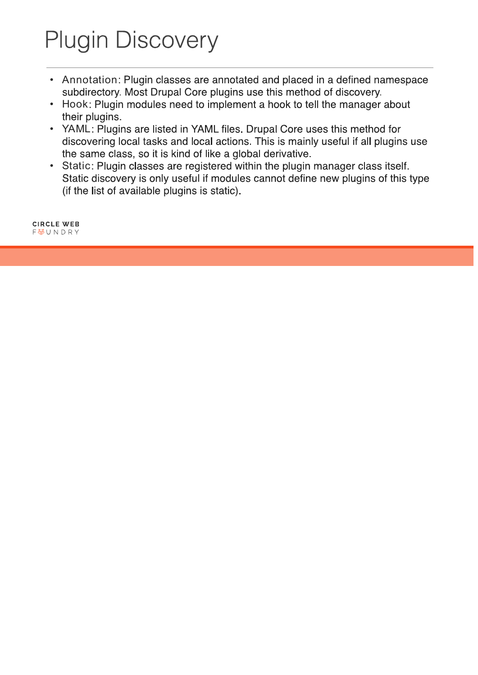# **Plugin Discovery**

- Annotation: Plugin classes are annotated and placed in a defined namespace subdirectory. Most Drupal Core plugins use this method of discovery.
- Hook: Plugin modules need to implement a hook to tell the manager about their plugins.
- YAML: Plugins are listed in YAML files. Drupal Core uses this method for discovering local tasks and local actions. This is mainly useful if all plugins use the same class, so it is kind of like a global derivative.
- Static: Plugin classes are registered within the plugin manager class itself. Static discovery is only useful if modules cannot define new plugins of this type (if the list of available plugins is static).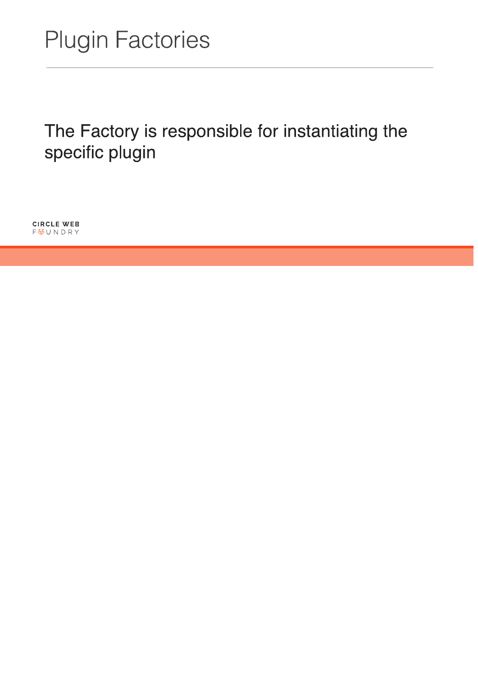The Factory is responsible for instantiating the specific plugin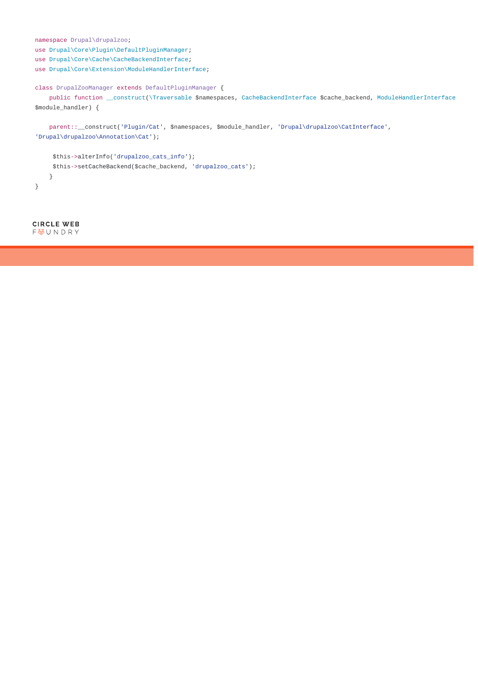```
namespace Drupal\drupalzoo;
use Drupal\Core\Plugin\DefaultPluginManager;
use Drupal\Core\Cache\CacheBackendInterface; 
use Drupal\Core\Extension\ModuleHandlerInterface; 
class DrupalZooManager extends DefaultPluginManager { 
     public function __construct(\Traversable $namespaces, CacheBackendInterface $cache_backend, ModuleHandlerInterface
$module_handler) { 
     parent::__construct('Plugin/Cat', $namespaces, $module_handler, 'Drupal\drupalzoo\CatInterface', 
'Drupal\drupalzoo\Annotation\Cat');
```

```
$this->alterInfo('drupalzoo_cats_info'); 
    $this->setCacheBackend($cache_backend, 'drupalzoo_cats'); 
     } 
}
```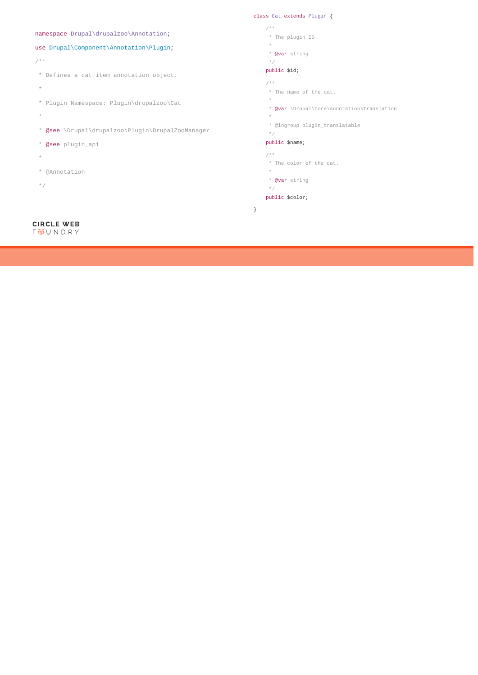namespace Drupal\drupalzoo\Annotation;

### use Drupal\Component\Annotation\Plugin;

#### /\*\*

- \* Defines a cat item annotation object.
- $\star$
- \* Plugin Namespace: Plugin\drupalzoo\Cat
- $\star$
- \* @see \Drupal\drupalzoo\Plugin\DrupalZooManager
- \* @see plugin\_api
- \*
- \* @Annotation
- \*/

#### **CIRCLE WEB** FUNDRY

#### class Cat extends Plugin {

- / \* \*
- \* The plugin ID.
- $^{\star}$
- \* @var string  $^\star$  /

### public \$id;

- 
- / \* \*
- \* The name of the cat.
- $^{\star}$
- \* @var \Drupal\Core\Annotation\Translation
- $\star$ 
	- \* @ingroup plugin\_translatable
	- \*/

#### public \$name;

- $/$  \* \*
- \* The color of the cat.
- $^{\star}$
- \* @var string
- $\star$  /

#### public \$color;

}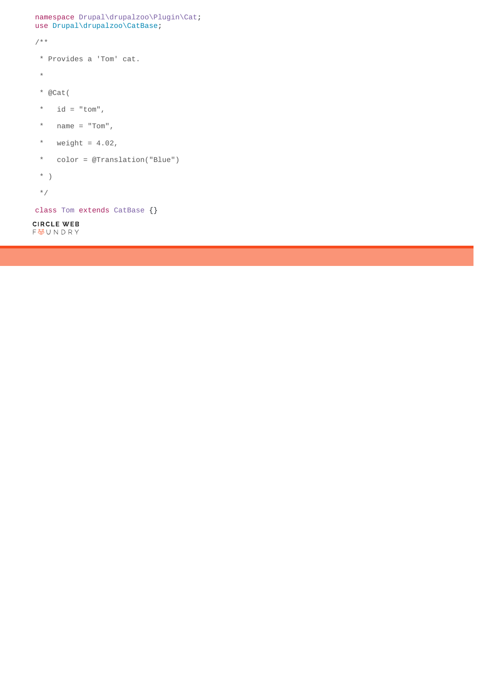```
namespace Drupal\drupalzoo\Plugin\Cat;
use Drupal\drupalzoo\CatBase;
/** 
  * Provides a 'Tom' cat. 
  * 
  * @Cat( 
 * id = "tom",* name = "Tom",* weight = 4.02,
  * color = @Translation("Blue") 
  * ) 
  */
class Tom extends CatBase {}CIRCLE WEB
F<br />
UNDRY
```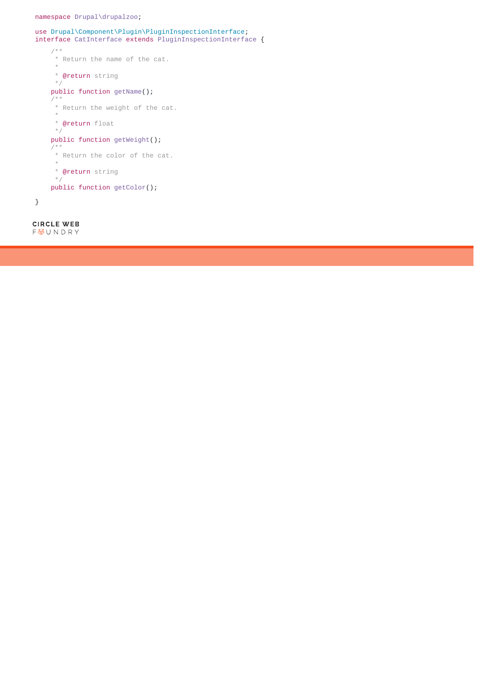```
use \texttt{Drupal}\Component\Plugin\PluginInspectionInterface}interface CatInterface extends PluginInspectionInterface {
    /\ast\,\ast * Return the name of the cat.
     \, \, \, * @return string
      */
     public function getName();
    / * *
      * Return the weight of the cat.
     ^{\star} * @return float
      */
     public function getWeight();
     /**
      * Return the color of the cat.
      *
      * @return string
      */
     public function getColor(); 
}
```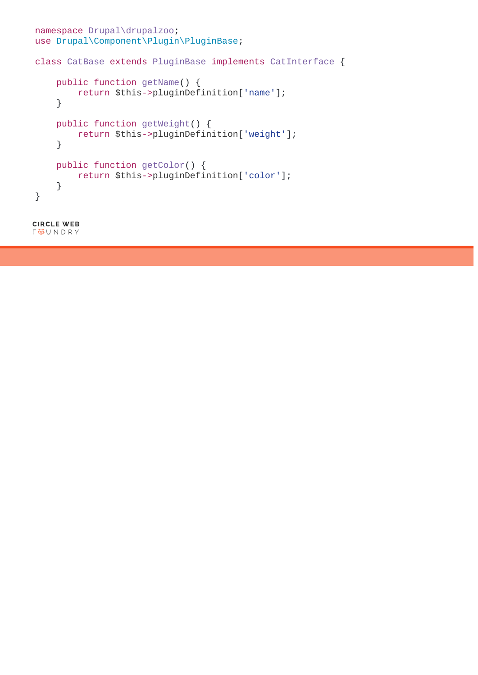```
namespace Drupal\drupalzoo;
use Drupal\Component\Plugin\PluginBase;
class CatBase extends PluginBase implements CatInterface { 
     public function getName() {
         return $this->pluginDefinition['name'];
     } 
     public function getWeight() {
         return $this->pluginDefinition['weight'];
     } 
     public function getColor() {
         return $this->pluginDefinition['color'];
     } 
}
```

```
CIRCLE WEB
FUNDRY
```